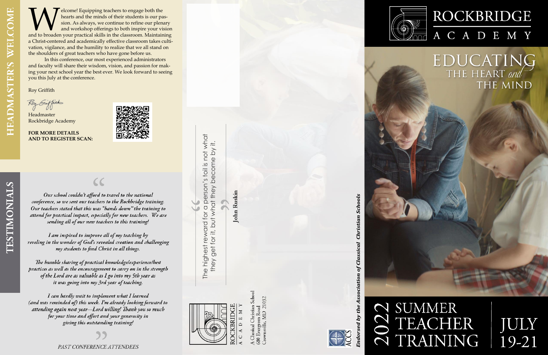**WE ANDE CONCORREGIST AS A SURVEYOR CONCORREND MANUSTRATHLET AND SIGNAL SURVEYOR AND SIGNAL SURVEYOR AND A SURVEYOR AND AN ANOTHER YOUR VISION and to broaden your practical skills in the classroom. Maintaining to both and** elcome! Equipping teachers to engage both the hearts and the minds of their students is our passion. As always, we continue to refine our plenary and workshop offerings to both inspire your vision a Christ-centered and academically effective classroom takes cultivation, vigilance, and the humility to realize that we all stand on the shoulders of great teachers who have gone before us.

In this conference, our most experienced administrators and faculty will share their wisdom, vision, and passion for making your next school year the best ever. We look forward to seeing you this July at the conference.

Roy Griffith

Roy Guffith

Headmaster Rockbridge Academy

**FOR MORE DETAILS AND TO REGISTER SCAN:** 



Our school couldn't afford to travel to the national conference, so we sent our teachers to the Rockbridge training. Our teachers stated that this was "hands down" the training to attend for practical impact, especially for new teachers. We are sending all of our new teachers to this training!

 $\zeta$ 

I am inspired to improve all of my teaching by reveling in the wonder of God's revealed creation and challenging my students to find Christ in all things.

The humble sharing of practical knowledge/experience/best practices as well as the encouragement to carry on in the strength of the Lord are as valuable as I go into my 5th year as it was going into my 3rd year of teaching.

I can hardly wait to implement what I learned (and was reminded of) this week. I'm already looking forward to attending again next year-Lord willing! Thank you so much for your time and effort and your generosity in giving this outstanding training!



The highest reward for a person's toil is not what a person's toil is not what they get for it, but what they become by it. they get for it, but what they become by it. The highest reward for

**John Ruskin** 



assical Christian School Crownsville, MD 21032 Ever;



**Christian Schools** indorsed by the Association of Classical





# ROCKBRIDGE A C A D E M Y

EDUCATING THE MIND

# N SUMMER<br>
N TEACHER<br>
N TRAINING

# JULY<br>19-21